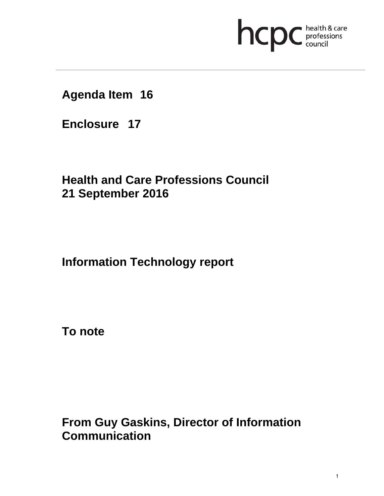# **health & care**

### **Agenda Item 16**

**Enclosure 17**

## **Health and Care Professions Council 21 September 2016**

**Information Technology report** 

**To note** 

**From Guy Gaskins, Director of Information Communication**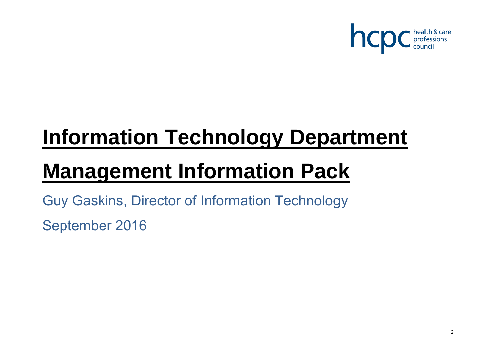

## **Information Technology Department**

## **Management Information Pack**

Guy Gaskins, Director of Information Technology

September 2016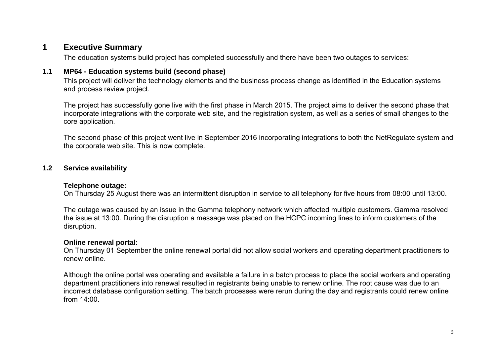#### **1 Executive Summary**

The education systems build project has completed successfully and there have been two outages to services:

#### **1.1 MP64 - Education systems build (second phase)**

This project will deliver the technology elements and the business process change as identified in the Education systems and process review project.

The project has successfully gone live with the first phase in March 2015. The project aims to deliver the second phase that incorporate integrations with the corporate web site, and the registration system, as well as a series of small changes to the core application.

The second phase of this project went live in September 2016 incorporating integrations to both the NetRegulate system and the corporate web site. This is now complete.

#### **1.2 Service availability**

#### **Telephone outage:**

On Thursday 25 August there was an intermittent disruption in service to all telephony for five hours from 08:00 until 13:00.

The outage was caused by an issue in the Gamma telephony network which affected multiple customers. Gamma resolved the issue at 13:00. During the disruption a message was placed on the HCPC incoming lines to inform customers of the disruption.

#### **Online renewal portal:**

On Thursday 01 September the online renewal portal did not allow social workers and operating department practitioners to renew online.

Although the online portal was operating and available a failure in a batch process to place the social workers and operating department practitioners into renewal resulted in registrants being unable to renew online. The root cause was due to an incorrect database configuration setting. The batch processes were rerun during the day and registrants could renew online from 14:00.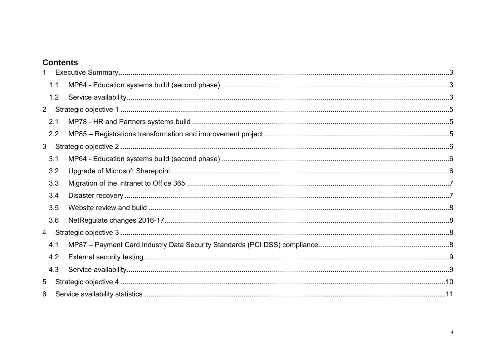#### **Contents**

| $\mathbf{1}$   |     |  |
|----------------|-----|--|
|                | 1.1 |  |
|                | 1.2 |  |
| $2^{\circ}$    |     |  |
|                | 2.1 |  |
|                | 2.2 |  |
| 3 <sup>1</sup> |     |  |
|                | 3.1 |  |
|                | 3.2 |  |
|                | 3.3 |  |
|                | 3.4 |  |
|                | 3.5 |  |
|                | 3.6 |  |
| $\overline{4}$ |     |  |
|                | 4.1 |  |
|                | 4.2 |  |
|                | 4.3 |  |
| 5              |     |  |
| 6              |     |  |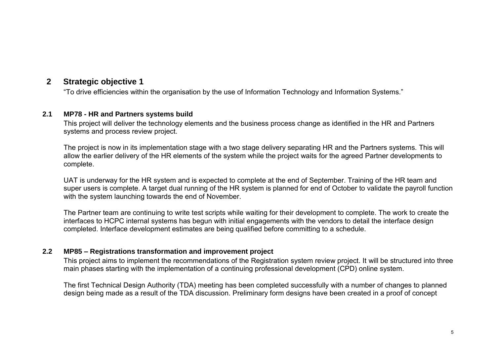#### **2 Strategic objective 1**

"To drive efficiencies within the organisation by the use of Information Technology and Information Systems."

#### **2.1 MP78 - HR and Partners systems build**

This project will deliver the technology elements and the business process change as identified in the HR and Partners systems and process review project.

The project is now in its implementation stage with a two stage delivery separating HR and the Partners systems. This will allow the earlier delivery of the HR elements of the system while the project waits for the agreed Partner developments to complete.

UAT is underway for the HR system and is expected to complete at the end of September. Training of the HR team and super users is complete. A target dual running of the HR system is planned for end of October to validate the payroll function with the system launching towards the end of November.

The Partner team are continuing to write test scripts while waiting for their development to complete. The work to create the interfaces to HCPC internal systems has begun with initial engagements with the vendors to detail the interface design completed. Interface development estimates are being qualified before committing to a schedule.

#### **2.2 MP85 – Registrations transformation and improvement project**

This project aims to implement the recommendations of the Registration system review project. It will be structured into three main phases starting with the implementation of a continuing professional development (CPD) online system.

The first Technical Design Authority (TDA) meeting has been completed successfully with a number of changes to planned design being made as a result of the TDA discussion. Preliminary form designs have been created in a proof of concept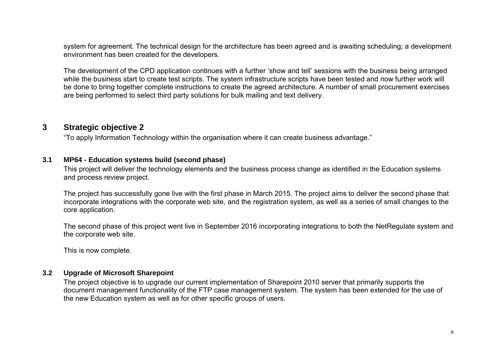system for agreement. The technical design for the architecture has been agreed and is awaiting scheduling; a development environment has been created for the developers.

The development of the CPD application continues with a further 'show and tell' sessions with the business being arranged while the business start to create test scripts. The system infrastructure scripts have been tested and now further work will be done to bring together complete instructions to create the agreed architecture. A number of small procurement exercises are being performed to select third party solutions for bulk mailing and text delivery.

#### **3 Strategic objective 2**

"To apply Information Technology within the organisation where it can create business advantage."

#### **3.1 MP64 - Education systems build (second phase)**

This project will deliver the technology elements and the business process change as identified in the Education systems and process review project.

The project has successfully gone live with the first phase in March 2015. The project aims to deliver the second phase that incorporate integrations with the corporate web site, and the registration system, as well as a series of small changes to the core application.

The second phase of this project went live in September 2016 incorporating integrations to both the NetRegulate system and the corporate web site.

This is now complete.

#### **3.2 Upgrade of Microsoft Sharepoint**

The project objective is to upgrade our current implementation of Sharepoint 2010 server that primarily supports the document management functionality of the FTP case management system. The system has been extended for the use of the new Education system as well as for other specific groups of users.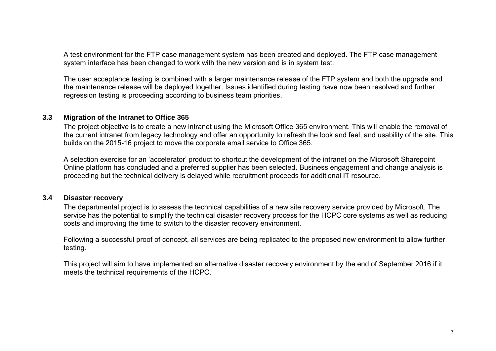A test environment for the FTP case management system has been created and deployed. The FTP case management system interface has been changed to work with the new version and is in system test.

The user acceptance testing is combined with a larger maintenance release of the FTP system and both the upgrade and the maintenance release will be deployed together. Issues identified during testing have now been resolved and further regression testing is proceeding according to business team priorities.

#### **3.3 Migration of the Intranet to Office 365**

The project objective is to create a new intranet using the Microsoft Office 365 environment. This will enable the removal of the current intranet from legacy technology and offer an opportunity to refresh the look and feel, and usability of the site. This builds on the 2015-16 project to move the corporate email service to Office 365.

A selection exercise for an 'accelerator' product to shortcut the development of the intranet on the Microsoft Sharepoint Online platform has concluded and a preferred supplier has been selected. Business engagement and change analysis is proceeding but the technical delivery is delayed while recruitment proceeds for additional IT resource.

#### **3.4 Disaster recovery**

The departmental project is to assess the technical capabilities of a new site recovery service provided by Microsoft. The service has the potential to simplify the technical disaster recovery process for the HCPC core systems as well as reducing costs and improving the time to switch to the disaster recovery environment.

Following a successful proof of concept, all services are being replicated to the proposed new environment to allow further testing.

This project will aim to have implemented an alternative disaster recovery environment by the end of September 2016 if it meets the technical requirements of the HCPC.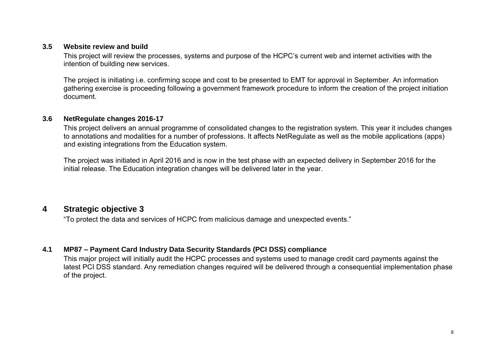#### **3.5 Website review and build**

This project will review the processes, systems and purpose of the HCPC's current web and internet activities with the intention of building new services.

The project is initiating i.e. confirming scope and cost to be presented to EMT for approval in September. An information gathering exercise is proceeding following a government framework procedure to inform the creation of the project initiation document.

#### **3.6 NetRegulate changes 2016-17**

This project delivers an annual programme of consolidated changes to the registration system. This year it includes changes to annotations and modalities for a number of professions. It affects NetRegulate as well as the mobile applications (apps) and existing integrations from the Education system.

The project was initiated in April 2016 and is now in the test phase with an expected delivery in September 2016 for the initial release. The Education integration changes will be delivered later in the year.

#### **4 Strategic objective 3**

"To protect the data and services of HCPC from malicious damage and unexpected events."

#### **4.1 MP87 – Payment Card Industry Data Security Standards (PCI DSS) compliance**

This major project will initially audit the HCPC processes and systems used to manage credit card payments against the latest PCI DSS standard. Any remediation changes required will be delivered through a consequential implementation phase of the project.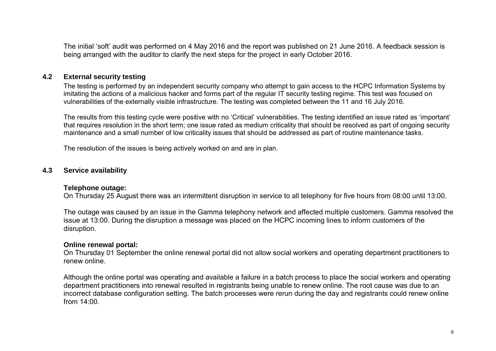The initial 'soft' audit was performed on 4 May 2016 and the report was published on 21 June 2016. A feedback session is being arranged with the auditor to clarify the next steps for the project in early October 2016.

#### **4.2 External security testing**

The testing is performed by an independent security company who attempt to gain access to the HCPC Information Systems by imitating the actions of a malicious hacker and forms part of the regular IT security testing regime. This test was focused on vulnerabilities of the externally visible infrastructure. The testing was completed between the 11 and 16 July 2016.

The results from this testing cycle were positive with no 'Critical' vulnerabilities. The testing identified an issue rated as 'important' that requires resolution in the short term; one issue rated as medium criticality that should be resolved as part of ongoing security maintenance and a small number of low criticality issues that should be addressed as part of routine maintenance tasks.

The resolution of the issues is being actively worked on and are in plan.

#### **4.3 Service availability**

#### **Telephone outage:**

On Thursday 25 August there was an intermittent disruption in service to all telephony for five hours from 08:00 until 13:00.

The outage was caused by an issue in the Gamma telephony network and affected multiple customers. Gamma resolved the issue at 13:00. During the disruption a message was placed on the HCPC incoming lines to inform customers of the disruption.

#### **Online renewal portal:**

On Thursday 01 September the online renewal portal did not allow social workers and operating department practitioners to renew online.

Although the online portal was operating and available a failure in a batch process to place the social workers and operating department practitioners into renewal resulted in registrants being unable to renew online. The root cause was due to an incorrect database configuration setting. The batch processes were rerun during the day and registrants could renew online from 14:00.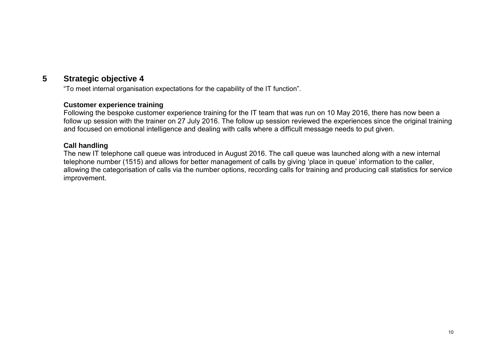#### **5 Strategic objective 4**

"To meet internal organisation expectations for the capability of the IT function".

#### **Customer experience training**

Following the bespoke customer experience training for the IT team that was run on 10 May 2016, there has now been a follow up session with the trainer on 27 July 2016. The follow up session reviewed the experiences since the original training and focused on emotional intelligence and dealing with calls where a difficult message needs to put given.

#### **Call handling**

The new IT telephone call queue was introduced in August 2016. The call queue was launched along with a new internal telephone number (1515) and allows for better management of calls by giving 'place in queue' information to the caller, allowing the categorisation of calls via the number options, recording calls for training and producing call statistics for service improvement.